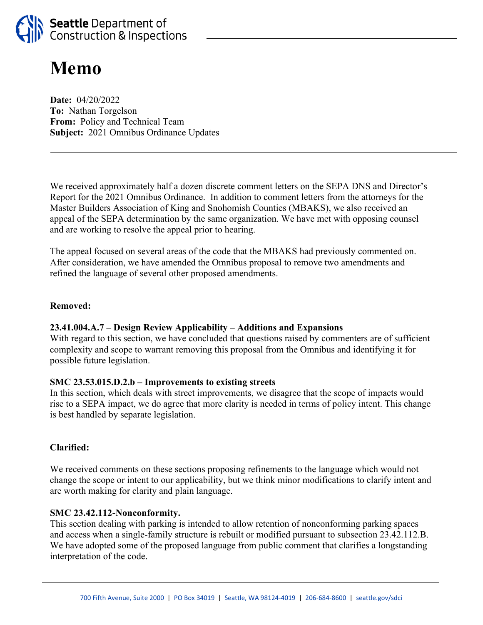

# **Memo**

**Date:** 04/20/2022 **To:** Nathan Torgelson **From:** Policy and Technical Team **Subject:** 2021 Omnibus Ordinance Updates

We received approximately half a dozen discrete comment letters on the SEPA DNS and Director's Report for the 2021 Omnibus Ordinance. In addition to comment letters from the attorneys for the Master Builders Association of King and Snohomish Counties (MBAKS), we also received an appeal of the SEPA determination by the same organization. We have met with opposing counsel and are working to resolve the appeal prior to hearing.

The appeal focused on several areas of the code that the MBAKS had previously commented on. After consideration, we have amended the Omnibus proposal to remove two amendments and refined the language of several other proposed amendments.

#### **Removed:**

#### **23.41.004.A.7 – Design Review Applicability – Additions and Expansions**

With regard to this section, we have concluded that questions raised by commenters are of sufficient complexity and scope to warrant removing this proposal from the Omnibus and identifying it for possible future legislation.

#### **SMC 23.53.015.D.2.b – Improvements to existing streets**

In this section, which deals with street improvements, we disagree that the scope of impacts would rise to a SEPA impact, we do agree that more clarity is needed in terms of policy intent. This change is best handled by separate legislation.

#### **Clarified:**

We received comments on these sections proposing refinements to the language which would not change the scope or intent to our applicability, but we think minor modifications to clarify intent and are worth making for clarity and plain language.

#### **SMC 23.42.112-Nonconformity.**

This section dealing with parking is intended to allow retention of nonconforming parking spaces and access when a single-family structure is rebuilt or modified pursuant to subsection 23.42.112.B. We have adopted some of the proposed language from public comment that clarifies a longstanding interpretation of the code.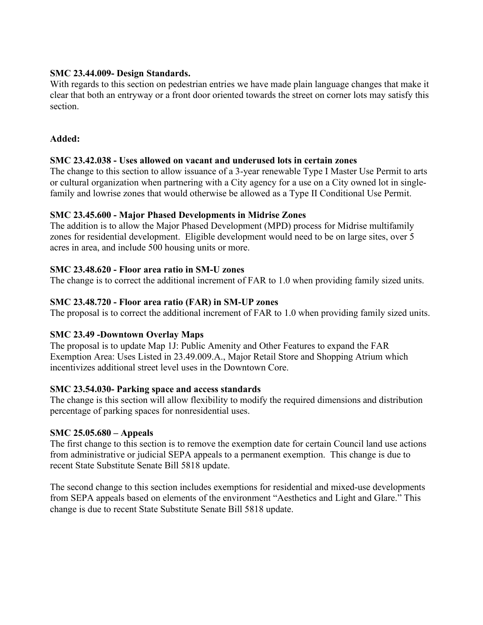# **SMC 23.44.009- Design Standards.**

With regards to this section on pedestrian entries we have made plain language changes that make it clear that both an entryway or a front door oriented towards the street on corner lots may satisfy this section.

# **Added:**

# **SMC 23.42.038 - Uses allowed on vacant and underused lots in certain zones**

The change to this section to allow issuance of a 3-year renewable Type I Master Use Permit to arts or cultural organization when partnering with a City agency for a use on a City owned lot in singlefamily and lowrise zones that would otherwise be allowed as a Type II Conditional Use Permit.

# **SMC 23.45.600 - Major Phased Developments in Midrise Zones**

The addition is to allow the Major Phased Development (MPD) process for Midrise multifamily zones for residential development. Eligible development would need to be on large sites, over 5 acres in area, and include 500 housing units or more.

## **SMC 23.48.620 - Floor area ratio in SM-U zones**

The change is to correct the additional increment of FAR to 1.0 when providing family sized units.

## **SMC 23.48.720 - Floor area ratio (FAR) in SM-UP zones**

The proposal is to correct the additional increment of FAR to 1.0 when providing family sized units.

# **SMC 23.49 -Downtown Overlay Maps**

The proposal is to update Map 1J: Public Amenity and Other Features to expand the FAR Exemption Area: Uses Listed in 23.49.009.A., Major Retail Store and Shopping Atrium which incentivizes additional street level uses in the Downtown Core.

#### **SMC 23.54.030- Parking space and access standards**

The change is this section will allow flexibility to modify the required dimensions and distribution percentage of parking spaces for nonresidential uses.

#### **SMC 25.05.680 – Appeals**

The first change to this section is to remove the exemption date for certain Council land use actions from administrative or judicial SEPA appeals to a permanent exemption. This change is due to recent State Substitute Senate Bill 5818 update.

The second change to this section includes exemptions for residential and mixed-use developments from SEPA appeals based on elements of the environment "Aesthetics and Light and Glare." This change is due to recent State Substitute Senate Bill 5818 update.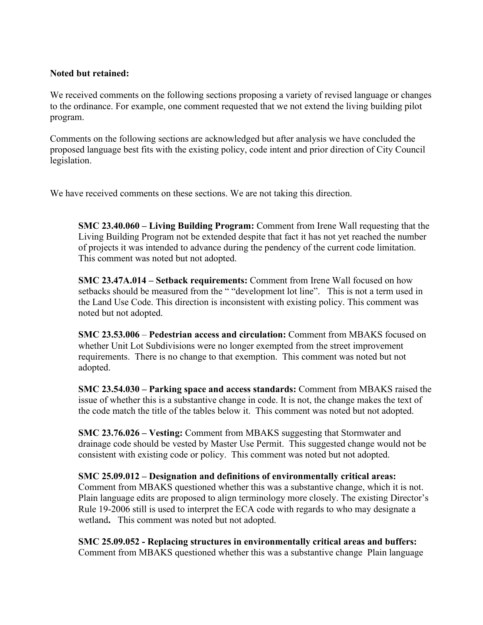## **Noted but retained:**

We received comments on the following sections proposing a variety of revised language or changes to the ordinance. For example, one comment requested that we not extend the living building pilot program.

Comments on the following sections are acknowledged but after analysis we have concluded the proposed language best fits with the existing policy, code intent and prior direction of City Council legislation.

We have received comments on these sections. We are not taking this direction.

**SMC 23.40.060 – Living Building Program:** Comment from Irene Wall requesting that the Living Building Program not be extended despite that fact it has not yet reached the number of projects it was intended to advance during the pendency of the current code limitation. This comment was noted but not adopted.

**SMC 23.47A.014 – Setback requirements:** Comment from Irene Wall focused on how setbacks should be measured from the " "development lot line". This is not a term used in the Land Use Code. This direction is inconsistent with existing policy. This comment was noted but not adopted.

**SMC 23.53.006** – **Pedestrian access and circulation:** Comment from MBAKS focused on whether Unit Lot Subdivisions were no longer exempted from the street improvement requirements. There is no change to that exemption. This comment was noted but not adopted.

**SMC 23.54.030 – Parking space and access standards:** Comment from MBAKS raised the issue of whether this is a substantive change in code. It is not, the change makes the text of the code match the title of the tables below it. This comment was noted but not adopted.

**SMC 23.76.026 – Vesting:** Comment from MBAKS suggesting that Stormwater and drainage code should be vested by Master Use Permit. This suggested change would not be consistent with existing code or policy. This comment was noted but not adopted.

**SMC 25.09.012 – Designation and definitions of environmentally critical areas:** Comment from MBAKS questioned whether this was a substantive change, which it is not. Plain language edits are proposed to align terminology more closely. The existing Director's Rule 19-2006 still is used to interpret the ECA code with regards to who may designate a wetland**.** This comment was noted but not adopted.

**SMC 25.09.052 - Replacing structures in environmentally critical areas and buffers:**  Comment from MBAKS questioned whether this was a substantive change Plain language